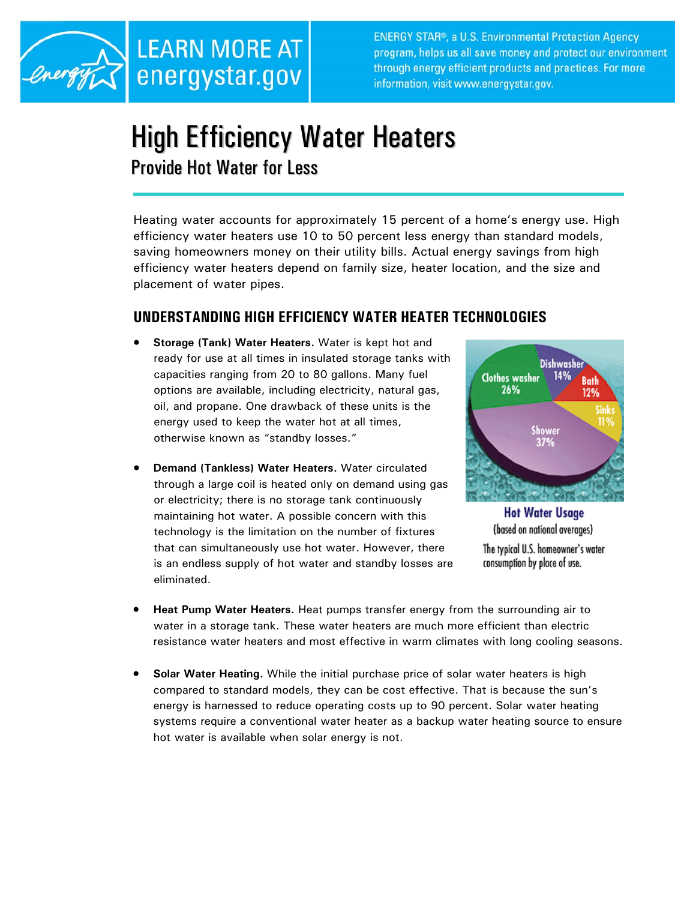

**ENERGY STAR®, a U.S. Environmental Protection Agency** program, helps us all save money and protect our environment through energy efficient products and practices. For more information, visit www.energystar.gov.

## High Efficiency Water Heaters Provide Hot Water for Less

Heating water accounts for approximately 15 percent of a home's energy use. High efficiency water heaters use 10 to 50 percent less energy than standard models, saving homeowners money on their utility bills. Actual energy savings from high efficiency water heaters depend on family size, heater location, and the size and placement of water pipes.

## **UNDERSTANDING HIGH EFFICIENCY WATER HEATER TECHNOLOGIES**

- **Storage (Tank) Water Heaters.** Water is kept hot and ready for use at all times in insulated storage tanks with capacities ranging from 20 to 80 gallons. Many fuel options are available, including electricity, natural gas, oil, and propane. One drawback of these units is the energy used to keep the water hot at all times, otherwise known as "standby losses."
- **Demand (Tankless) Water Heaters.** Water circulated through a large coil is heated only on demand using gas or electricity; there is no storage tank continuously maintaining hot water. A possible concern with this technology is the limitation on the number of fixtures that can simultaneously use hot water. However, there is an endless supply of hot water and standby losses are eliminated.



**Hot Water Usage** (based on national averages) The typical U.S. homeowner's water consumption by place of use.

- **Heat Pump Water Heaters.** Heat pumps transfer energy from the surrounding air to water in a storage tank. These water heaters are much more efficient than electric resistance water heaters and most effective in warm climates with long cooling seasons.
- **Solar Water Heating.** While the initial purchase price of solar water heaters is high compared to standard models, they can be cost effective. That is because the sun's energy is harnessed to reduce operating costs up to 90 percent. Solar water heating systems require a conventional water heater as a backup water heating source to ensure hot water is available when solar energy is not.